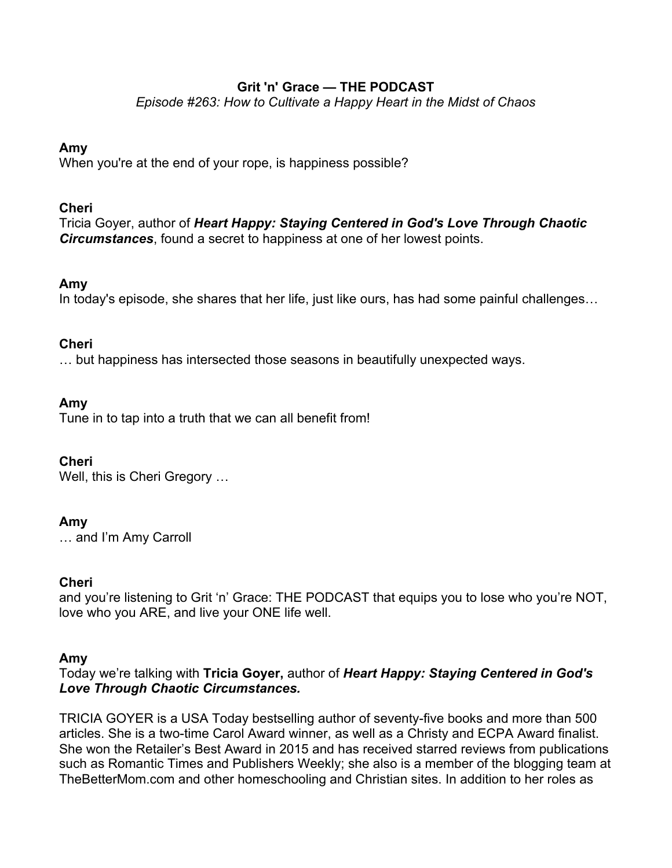# **Grit 'n' Grace — THE PODCAST**

*Episode #263: How to Cultivate a Happy Heart in the Midst of Chaos*

# **Amy**

When you're at the end of your rope, is happiness possible?

# **Cheri**

Tricia Goyer, author of *Heart Happy: Staying Centered in God's Love Through Chaotic Circumstances*, found a secret to happiness at one of her lowest points.

# **Amy**

In today's episode, she shares that her life, just like ours, has had some painful challenges…

# **Cheri**

… but happiness has intersected those seasons in beautifully unexpected ways.

# **Amy**

Tune in to tap into a truth that we can all benefit from!

### **Cheri**

Well, this is Cheri Gregory …

# **Amy**

… and I'm Amy Carroll

### **Cheri**

and you're listening to Grit 'n' Grace: THE PODCAST that equips you to lose who you're NOT, love who you ARE, and live your ONE life well.

### **Amy**

Today we're talking with **Tricia Goyer,** author of *Heart Happy: Staying Centered in God's Love Through Chaotic Circumstances.*

TRICIA GOYER is a USA Today bestselling author of seventy-five books and more than 500 articles. She is a two-time Carol Award winner, as well as a Christy and ECPA Award finalist. She won the Retailer's Best Award in 2015 and has received starred reviews from publications such as Romantic Times and Publishers Weekly; she also is a member of the blogging team at TheBetterMom.com and other homeschooling and Christian sites. In addition to her roles as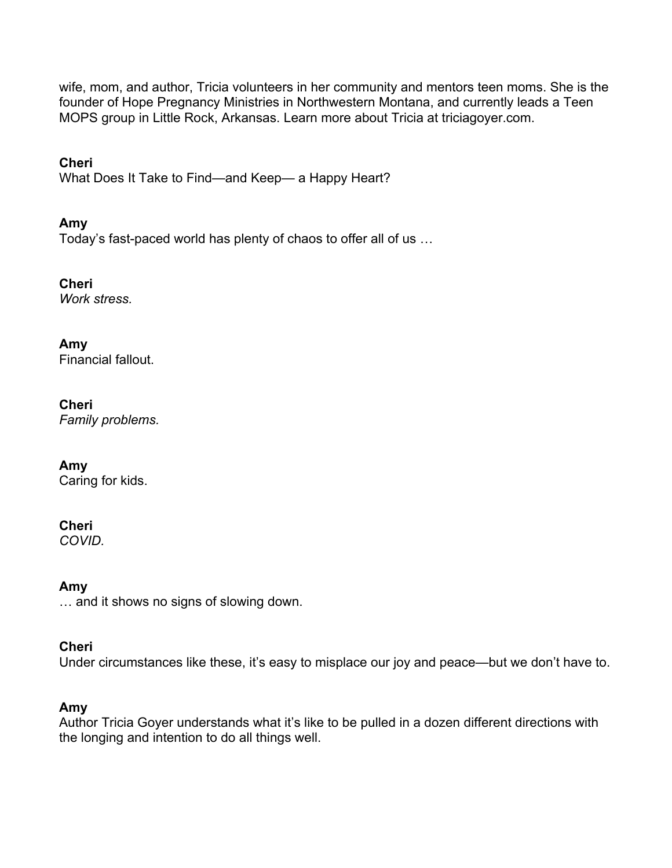wife, mom, and author, Tricia volunteers in her community and mentors teen moms. She is the founder of Hope Pregnancy Ministries in Northwestern Montana, and currently leads a Teen MOPS group in Little Rock, Arkansas. Learn more about Tricia at triciagoyer.com.

**Cheri**

What Does It Take to Find—and Keep— a Happy Heart?

# **Amy**

Today's fast-paced world has plenty of chaos to offer all of us …

**Cheri** *Work stress.*

# **Amy**

Financial fallout.

# **Cheri**

*Family problems.*

### **Amy**

Caring for kids.

# **Cheri**

*COVID.*

**Amy** … and it shows no signs of slowing down.

### **Cheri**

Under circumstances like these, it's easy to misplace our joy and peace—but we don't have to.

### **Amy**

Author Tricia Goyer understands what it's like to be pulled in a dozen different directions with the longing and intention to do all things well.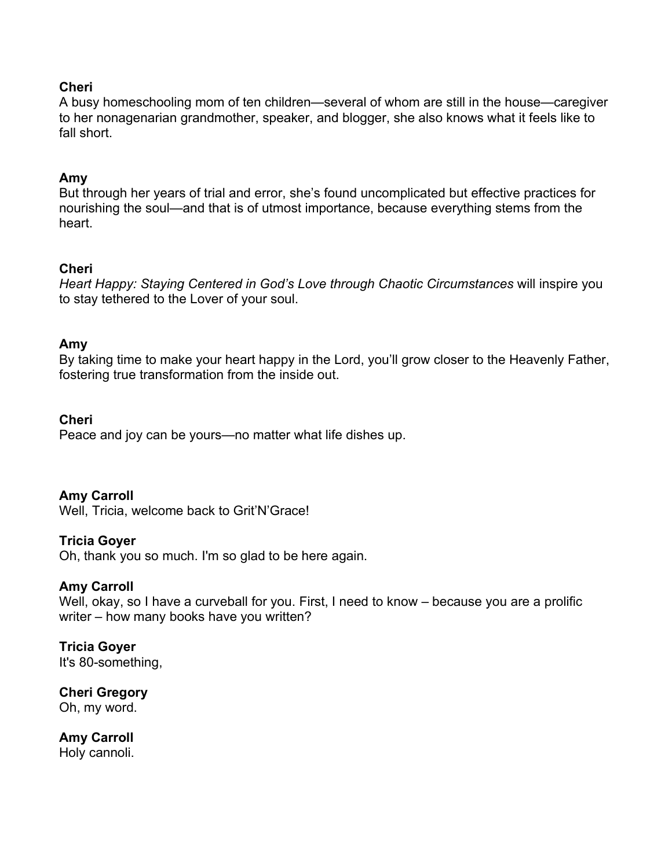### **Cheri**

A busy homeschooling mom of ten children—several of whom are still in the house—caregiver to her nonagenarian grandmother, speaker, and blogger, she also knows what it feels like to fall short.

# **Amy**

But through her years of trial and error, she's found uncomplicated but effective practices for nourishing the soul—and that is of utmost importance, because everything stems from the heart.

# **Cheri**

*Heart Happy: Staying Centered in God's Love through Chaotic Circumstances* will inspire you to stay tethered to the Lover of your soul.

# **Amy**

By taking time to make your heart happy in the Lord, you'll grow closer to the Heavenly Father, fostering true transformation from the inside out.

### **Cheri**

Peace and joy can be yours—no matter what life dishes up.

### **Amy Carroll**

Well, Tricia, welcome back to Grit'N'Grace!

### **Tricia Goyer**

Oh, thank you so much. I'm so glad to be here again.

### **Amy Carroll**

Well, okay, so I have a curveball for you. First, I need to know – because you are a prolific writer – how many books have you written?

# **Tricia Goyer**

It's 80-something,

#### **Cheri Gregory** Oh, my word.

**Amy Carroll**  Holy cannoli.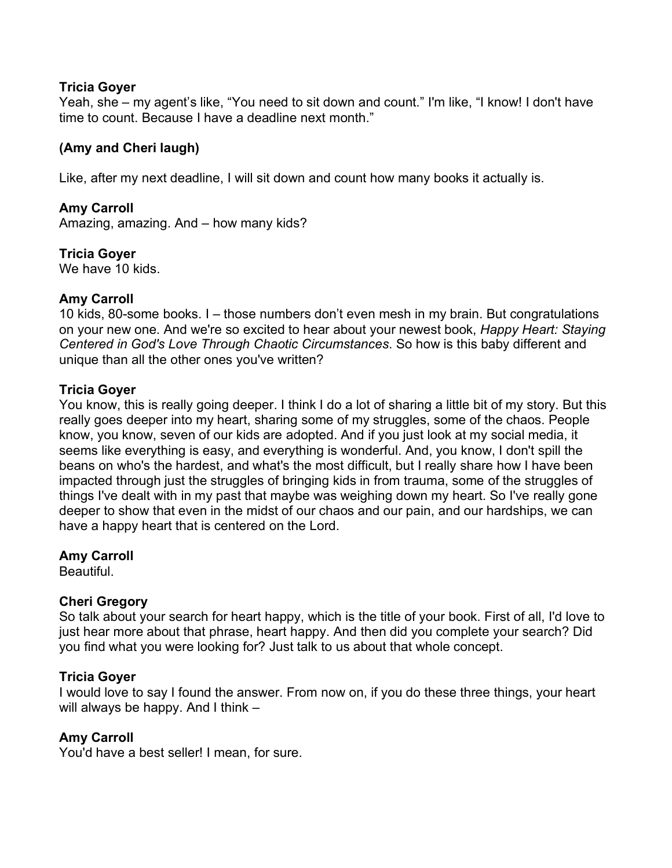### **Tricia Goyer**

Yeah, she – my agent's like, "You need to sit down and count." I'm like, "I know! I don't have time to count. Because I have a deadline next month."

# **(Amy and Cheri laugh)**

Like, after my next deadline, I will sit down and count how many books it actually is.

# **Amy Carroll**

Amazing, amazing. And – how many kids?

# **Tricia Goyer**

We have 10 kids.

# **Amy Carroll**

10 kids, 80-some books. I – those numbers don't even mesh in my brain. But congratulations on your new one. And we're so excited to hear about your newest book, *Happy Heart: Staying Centered in God's Love Through Chaotic Circumstances*. So how is this baby different and unique than all the other ones you've written?

# **Tricia Goyer**

You know, this is really going deeper. I think I do a lot of sharing a little bit of my story. But this really goes deeper into my heart, sharing some of my struggles, some of the chaos. People know, you know, seven of our kids are adopted. And if you just look at my social media, it seems like everything is easy, and everything is wonderful. And, you know, I don't spill the beans on who's the hardest, and what's the most difficult, but I really share how I have been impacted through just the struggles of bringing kids in from trauma, some of the struggles of things I've dealt with in my past that maybe was weighing down my heart. So I've really gone deeper to show that even in the midst of our chaos and our pain, and our hardships, we can have a happy heart that is centered on the Lord.

### **Amy Carroll**

Beautiful.

# **Cheri Gregory**

So talk about your search for heart happy, which is the title of your book. First of all, I'd love to just hear more about that phrase, heart happy. And then did you complete your search? Did you find what you were looking for? Just talk to us about that whole concept.

# **Tricia Goyer**

I would love to say I found the answer. From now on, if you do these three things, your heart will always be happy. And I think –

# **Amy Carroll**

You'd have a best seller! I mean, for sure.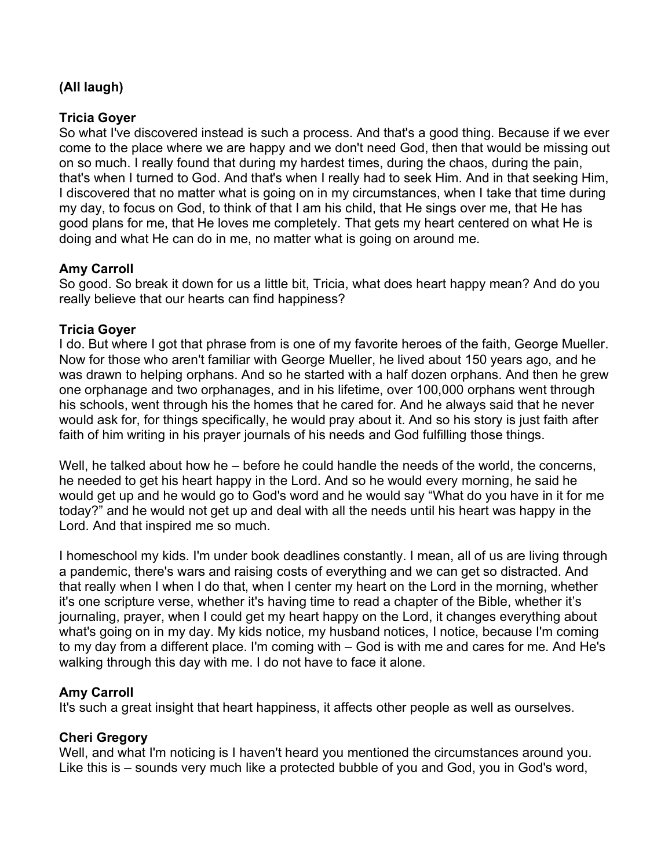# **(All laugh)**

# **Tricia Goyer**

So what I've discovered instead is such a process. And that's a good thing. Because if we ever come to the place where we are happy and we don't need God, then that would be missing out on so much. I really found that during my hardest times, during the chaos, during the pain, that's when I turned to God. And that's when I really had to seek Him. And in that seeking Him, I discovered that no matter what is going on in my circumstances, when I take that time during my day, to focus on God, to think of that I am his child, that He sings over me, that He has good plans for me, that He loves me completely. That gets my heart centered on what He is doing and what He can do in me, no matter what is going on around me.

# **Amy Carroll**

So good. So break it down for us a little bit, Tricia, what does heart happy mean? And do you really believe that our hearts can find happiness?

### **Tricia Goyer**

I do. But where I got that phrase from is one of my favorite heroes of the faith, George Mueller. Now for those who aren't familiar with George Mueller, he lived about 150 years ago, and he was drawn to helping orphans. And so he started with a half dozen orphans. And then he grew one orphanage and two orphanages, and in his lifetime, over 100,000 orphans went through his schools, went through his the homes that he cared for. And he always said that he never would ask for, for things specifically, he would pray about it. And so his story is just faith after faith of him writing in his prayer journals of his needs and God fulfilling those things.

Well, he talked about how he – before he could handle the needs of the world, the concerns, he needed to get his heart happy in the Lord. And so he would every morning, he said he would get up and he would go to God's word and he would say "What do you have in it for me today?" and he would not get up and deal with all the needs until his heart was happy in the Lord. And that inspired me so much.

I homeschool my kids. I'm under book deadlines constantly. I mean, all of us are living through a pandemic, there's wars and raising costs of everything and we can get so distracted. And that really when I when I do that, when I center my heart on the Lord in the morning, whether it's one scripture verse, whether it's having time to read a chapter of the Bible, whether it's journaling, prayer, when I could get my heart happy on the Lord, it changes everything about what's going on in my day. My kids notice, my husband notices, I notice, because I'm coming to my day from a different place. I'm coming with – God is with me and cares for me. And He's walking through this day with me. I do not have to face it alone.

### **Amy Carroll**

It's such a great insight that heart happiness, it affects other people as well as ourselves.

# **Cheri Gregory**

Well, and what I'm noticing is I haven't heard you mentioned the circumstances around you. Like this is – sounds very much like a protected bubble of you and God, you in God's word,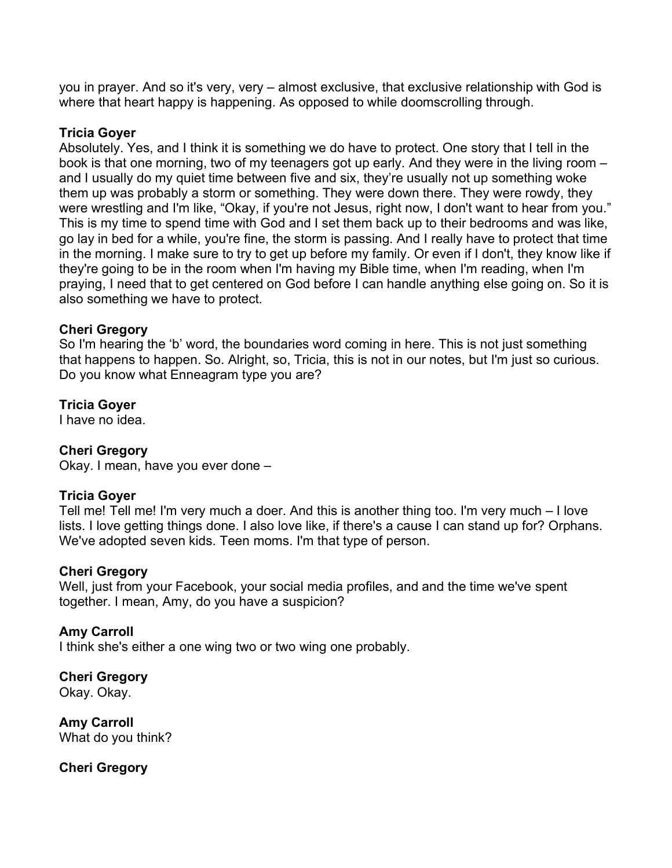you in prayer. And so it's very, very – almost exclusive, that exclusive relationship with God is where that heart happy is happening. As opposed to while doomscrolling through.

### **Tricia Goyer**

Absolutely. Yes, and I think it is something we do have to protect. One story that I tell in the book is that one morning, two of my teenagers got up early. And they were in the living room – and I usually do my quiet time between five and six, they're usually not up something woke them up was probably a storm or something. They were down there. They were rowdy, they were wrestling and I'm like, "Okay, if you're not Jesus, right now, I don't want to hear from you." This is my time to spend time with God and I set them back up to their bedrooms and was like, go lay in bed for a while, you're fine, the storm is passing. And I really have to protect that time in the morning. I make sure to try to get up before my family. Or even if I don't, they know like if they're going to be in the room when I'm having my Bible time, when I'm reading, when I'm praying, I need that to get centered on God before I can handle anything else going on. So it is also something we have to protect.

#### **Cheri Gregory**

So I'm hearing the 'b' word, the boundaries word coming in here. This is not just something that happens to happen. So. Alright, so, Tricia, this is not in our notes, but I'm just so curious. Do you know what Enneagram type you are?

### **Tricia Goyer**

I have no idea.

### **Cheri Gregory**

Okay. I mean, have you ever done –

### **Tricia Goyer**

Tell me! Tell me! I'm very much a doer. And this is another thing too. I'm very much – I love lists. I love getting things done. I also love like, if there's a cause I can stand up for? Orphans. We've adopted seven kids. Teen moms. I'm that type of person.

### **Cheri Gregory**

Well, just from your Facebook, your social media profiles, and and the time we've spent together. I mean, Amy, do you have a suspicion?

#### **Amy Carroll**

I think she's either a one wing two or two wing one probably.

**Cheri Gregory**  Okay. Okay.

**Amy Carroll**  What do you think?

**Cheri Gregory**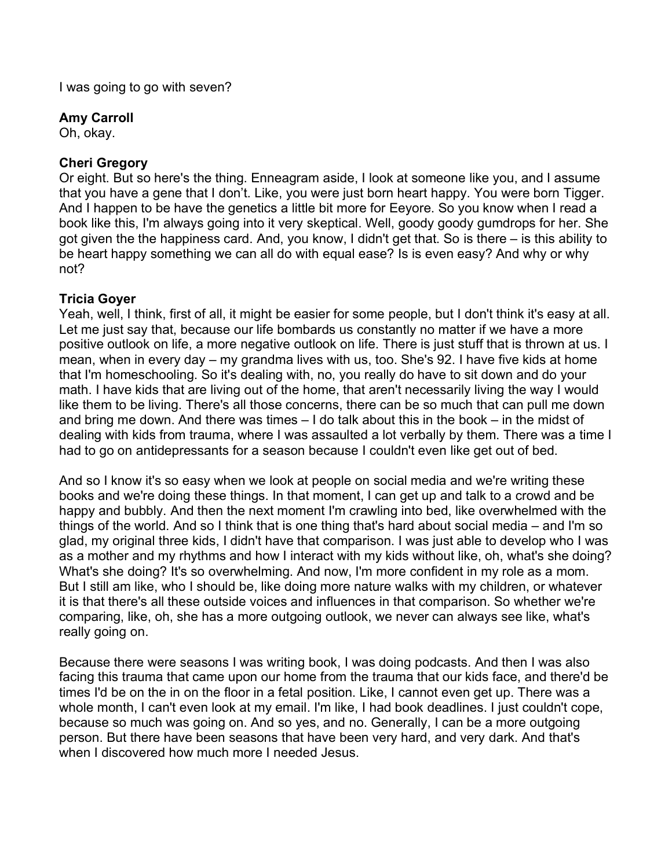I was going to go with seven?

# **Amy Carroll**

Oh, okay.

# **Cheri Gregory**

Or eight. But so here's the thing. Enneagram aside, I look at someone like you, and I assume that you have a gene that I don't. Like, you were just born heart happy. You were born Tigger. And I happen to be have the genetics a little bit more for Eeyore. So you know when I read a book like this, I'm always going into it very skeptical. Well, goody goody gumdrops for her. She got given the the happiness card. And, you know, I didn't get that. So is there – is this ability to be heart happy something we can all do with equal ease? Is is even easy? And why or why not?

# **Tricia Goyer**

Yeah, well, I think, first of all, it might be easier for some people, but I don't think it's easy at all. Let me just say that, because our life bombards us constantly no matter if we have a more positive outlook on life, a more negative outlook on life. There is just stuff that is thrown at us. I mean, when in every day – my grandma lives with us, too. She's 92. I have five kids at home that I'm homeschooling. So it's dealing with, no, you really do have to sit down and do your math. I have kids that are living out of the home, that aren't necessarily living the way I would like them to be living. There's all those concerns, there can be so much that can pull me down and bring me down. And there was times – I do talk about this in the book – in the midst of dealing with kids from trauma, where I was assaulted a lot verbally by them. There was a time I had to go on antidepressants for a season because I couldn't even like get out of bed.

And so I know it's so easy when we look at people on social media and we're writing these books and we're doing these things. In that moment, I can get up and talk to a crowd and be happy and bubbly. And then the next moment I'm crawling into bed, like overwhelmed with the things of the world. And so I think that is one thing that's hard about social media – and I'm so glad, my original three kids, I didn't have that comparison. I was just able to develop who I was as a mother and my rhythms and how I interact with my kids without like, oh, what's she doing? What's she doing? It's so overwhelming. And now, I'm more confident in my role as a mom. But I still am like, who I should be, like doing more nature walks with my children, or whatever it is that there's all these outside voices and influences in that comparison. So whether we're comparing, like, oh, she has a more outgoing outlook, we never can always see like, what's really going on.

Because there were seasons I was writing book, I was doing podcasts. And then I was also facing this trauma that came upon our home from the trauma that our kids face, and there'd be times I'd be on the in on the floor in a fetal position. Like, I cannot even get up. There was a whole month, I can't even look at my email. I'm like, I had book deadlines. I just couldn't cope, because so much was going on. And so yes, and no. Generally, I can be a more outgoing person. But there have been seasons that have been very hard, and very dark. And that's when I discovered how much more I needed Jesus.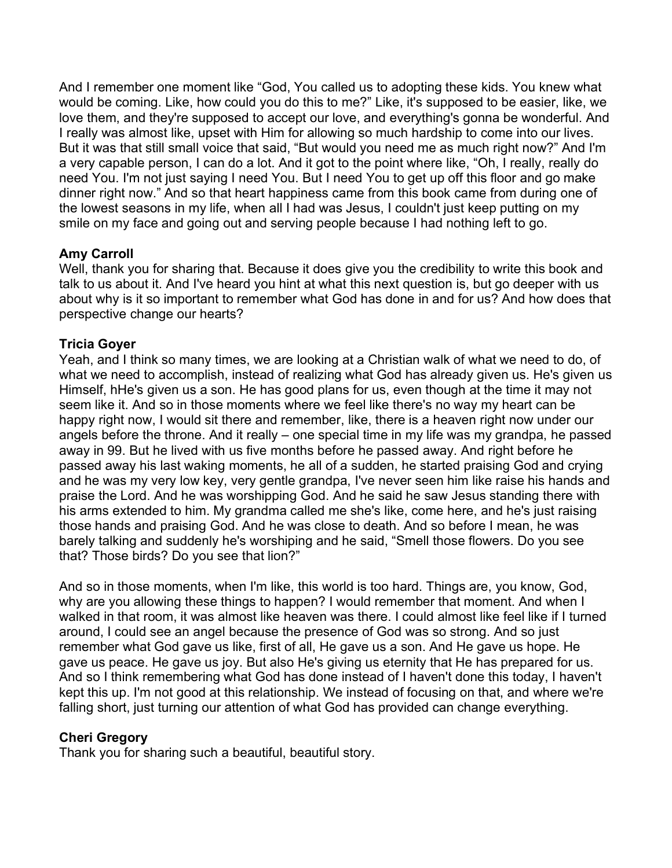And I remember one moment like "God, You called us to adopting these kids. You knew what would be coming. Like, how could you do this to me?" Like, it's supposed to be easier, like, we love them, and they're supposed to accept our love, and everything's gonna be wonderful. And I really was almost like, upset with Him for allowing so much hardship to come into our lives. But it was that still small voice that said, "But would you need me as much right now?" And I'm a very capable person, I can do a lot. And it got to the point where like, "Oh, I really, really do need You. I'm not just saying I need You. But I need You to get up off this floor and go make dinner right now." And so that heart happiness came from this book came from during one of the lowest seasons in my life, when all I had was Jesus, I couldn't just keep putting on my smile on my face and going out and serving people because I had nothing left to go.

# **Amy Carroll**

Well, thank you for sharing that. Because it does give you the credibility to write this book and talk to us about it. And I've heard you hint at what this next question is, but go deeper with us about why is it so important to remember what God has done in and for us? And how does that perspective change our hearts?

# **Tricia Goyer**

Yeah, and I think so many times, we are looking at a Christian walk of what we need to do, of what we need to accomplish, instead of realizing what God has already given us. He's given us Himself, hHe's given us a son. He has good plans for us, even though at the time it may not seem like it. And so in those moments where we feel like there's no way my heart can be happy right now, I would sit there and remember, like, there is a heaven right now under our angels before the throne. And it really – one special time in my life was my grandpa, he passed away in 99. But he lived with us five months before he passed away. And right before he passed away his last waking moments, he all of a sudden, he started praising God and crying and he was my very low key, very gentle grandpa, I've never seen him like raise his hands and praise the Lord. And he was worshipping God. And he said he saw Jesus standing there with his arms extended to him. My grandma called me she's like, come here, and he's just raising those hands and praising God. And he was close to death. And so before I mean, he was barely talking and suddenly he's worshiping and he said, "Smell those flowers. Do you see that? Those birds? Do you see that lion?"

And so in those moments, when I'm like, this world is too hard. Things are, you know, God, why are you allowing these things to happen? I would remember that moment. And when I walked in that room, it was almost like heaven was there. I could almost like feel like if I turned around, I could see an angel because the presence of God was so strong. And so just remember what God gave us like, first of all, He gave us a son. And He gave us hope. He gave us peace. He gave us joy. But also He's giving us eternity that He has prepared for us. And so I think remembering what God has done instead of I haven't done this today, I haven't kept this up. I'm not good at this relationship. We instead of focusing on that, and where we're falling short, just turning our attention of what God has provided can change everything.

# **Cheri Gregory**

Thank you for sharing such a beautiful, beautiful story.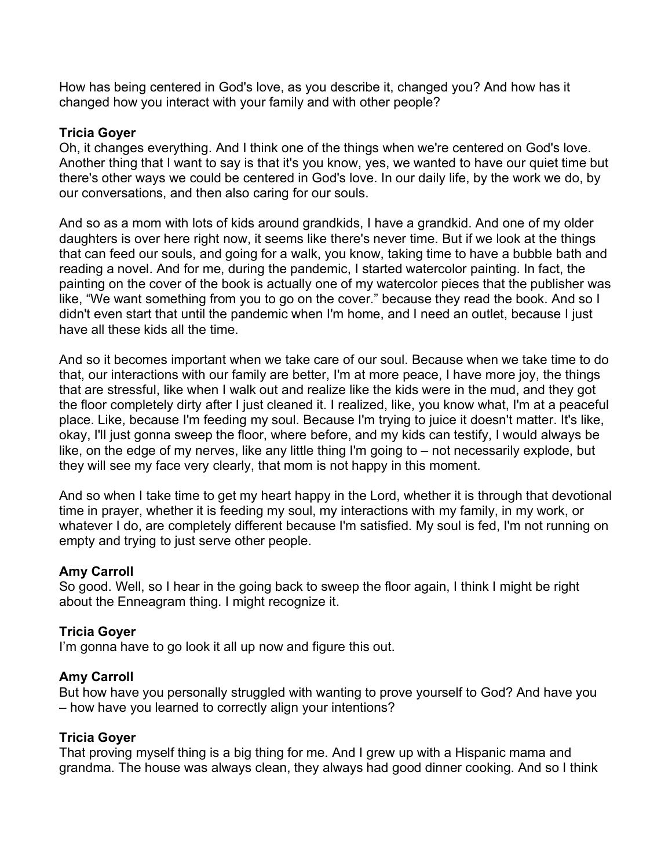How has being centered in God's love, as you describe it, changed you? And how has it changed how you interact with your family and with other people?

### **Tricia Goyer**

Oh, it changes everything. And I think one of the things when we're centered on God's love. Another thing that I want to say is that it's you know, yes, we wanted to have our quiet time but there's other ways we could be centered in God's love. In our daily life, by the work we do, by our conversations, and then also caring for our souls.

And so as a mom with lots of kids around grandkids, I have a grandkid. And one of my older daughters is over here right now, it seems like there's never time. But if we look at the things that can feed our souls, and going for a walk, you know, taking time to have a bubble bath and reading a novel. And for me, during the pandemic, I started watercolor painting. In fact, the painting on the cover of the book is actually one of my watercolor pieces that the publisher was like, "We want something from you to go on the cover." because they read the book. And so I didn't even start that until the pandemic when I'm home, and I need an outlet, because I just have all these kids all the time.

And so it becomes important when we take care of our soul. Because when we take time to do that, our interactions with our family are better, I'm at more peace, I have more joy, the things that are stressful, like when I walk out and realize like the kids were in the mud, and they got the floor completely dirty after I just cleaned it. I realized, like, you know what, I'm at a peaceful place. Like, because I'm feeding my soul. Because I'm trying to juice it doesn't matter. It's like, okay, I'll just gonna sweep the floor, where before, and my kids can testify, I would always be like, on the edge of my nerves, like any little thing I'm going to – not necessarily explode, but they will see my face very clearly, that mom is not happy in this moment.

And so when I take time to get my heart happy in the Lord, whether it is through that devotional time in prayer, whether it is feeding my soul, my interactions with my family, in my work, or whatever I do, are completely different because I'm satisfied. My soul is fed, I'm not running on empty and trying to just serve other people.

### **Amy Carroll**

So good. Well, so I hear in the going back to sweep the floor again, I think I might be right about the Enneagram thing. I might recognize it.

#### **Tricia Goyer**

I'm gonna have to go look it all up now and figure this out.

### **Amy Carroll**

But how have you personally struggled with wanting to prove yourself to God? And have you – how have you learned to correctly align your intentions?

#### **Tricia Goyer**

That proving myself thing is a big thing for me. And I grew up with a Hispanic mama and grandma. The house was always clean, they always had good dinner cooking. And so I think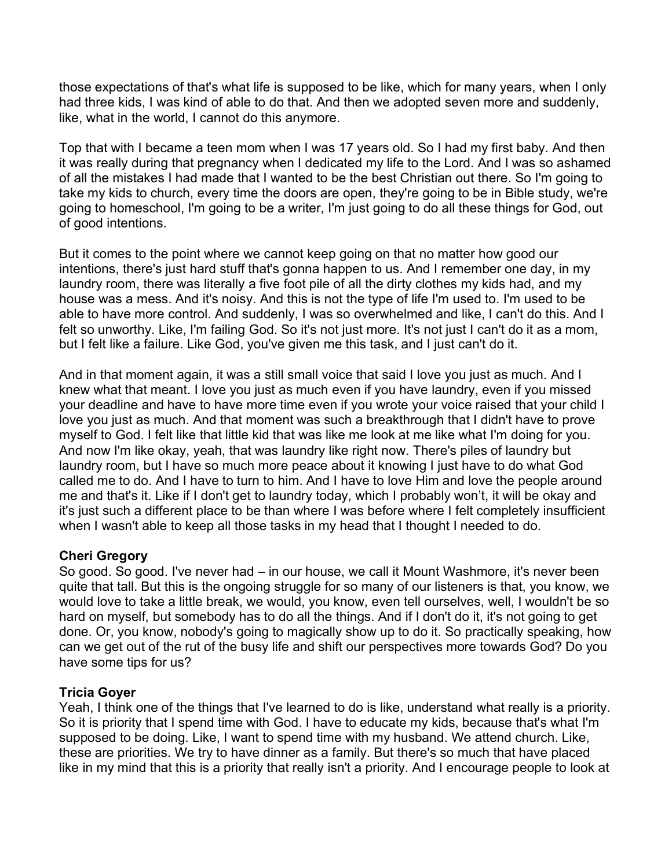those expectations of that's what life is supposed to be like, which for many years, when I only had three kids, I was kind of able to do that. And then we adopted seven more and suddenly, like, what in the world, I cannot do this anymore.

Top that with I became a teen mom when I was 17 years old. So I had my first baby. And then it was really during that pregnancy when I dedicated my life to the Lord. And I was so ashamed of all the mistakes I had made that I wanted to be the best Christian out there. So I'm going to take my kids to church, every time the doors are open, they're going to be in Bible study, we're going to homeschool, I'm going to be a writer, I'm just going to do all these things for God, out of good intentions.

But it comes to the point where we cannot keep going on that no matter how good our intentions, there's just hard stuff that's gonna happen to us. And I remember one day, in my laundry room, there was literally a five foot pile of all the dirty clothes my kids had, and my house was a mess. And it's noisy. And this is not the type of life I'm used to. I'm used to be able to have more control. And suddenly, I was so overwhelmed and like, I can't do this. And I felt so unworthy. Like, I'm failing God. So it's not just more. It's not just I can't do it as a mom, but I felt like a failure. Like God, you've given me this task, and I just can't do it.

And in that moment again, it was a still small voice that said I love you just as much. And I knew what that meant. I love you just as much even if you have laundry, even if you missed your deadline and have to have more time even if you wrote your voice raised that your child I love you just as much. And that moment was such a breakthrough that I didn't have to prove myself to God. I felt like that little kid that was like me look at me like what I'm doing for you. And now I'm like okay, yeah, that was laundry like right now. There's piles of laundry but laundry room, but I have so much more peace about it knowing I just have to do what God called me to do. And I have to turn to him. And I have to love Him and love the people around me and that's it. Like if I don't get to laundry today, which I probably won't, it will be okay and it's just such a different place to be than where I was before where I felt completely insufficient when I wasn't able to keep all those tasks in my head that I thought I needed to do.

### **Cheri Gregory**

So good. So good. I've never had – in our house, we call it Mount Washmore, it's never been quite that tall. But this is the ongoing struggle for so many of our listeners is that, you know, we would love to take a little break, we would, you know, even tell ourselves, well, I wouldn't be so hard on myself, but somebody has to do all the things. And if I don't do it, it's not going to get done. Or, you know, nobody's going to magically show up to do it. So practically speaking, how can we get out of the rut of the busy life and shift our perspectives more towards God? Do you have some tips for us?

### **Tricia Goyer**

Yeah, I think one of the things that I've learned to do is like, understand what really is a priority. So it is priority that I spend time with God. I have to educate my kids, because that's what I'm supposed to be doing. Like, I want to spend time with my husband. We attend church. Like, these are priorities. We try to have dinner as a family. But there's so much that have placed like in my mind that this is a priority that really isn't a priority. And I encourage people to look at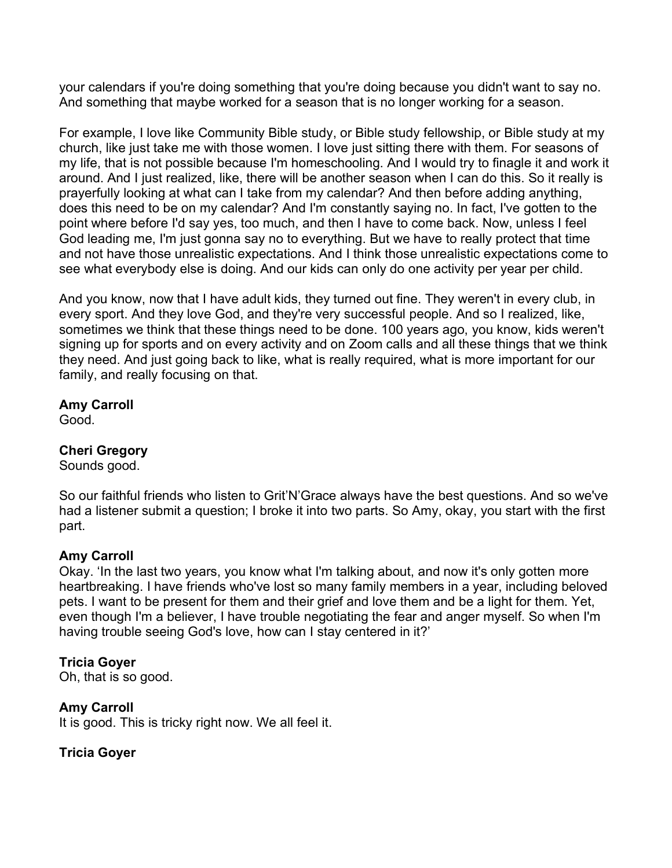your calendars if you're doing something that you're doing because you didn't want to say no. And something that maybe worked for a season that is no longer working for a season.

For example, I love like Community Bible study, or Bible study fellowship, or Bible study at my church, like just take me with those women. I love just sitting there with them. For seasons of my life, that is not possible because I'm homeschooling. And I would try to finagle it and work it around. And I just realized, like, there will be another season when I can do this. So it really is prayerfully looking at what can I take from my calendar? And then before adding anything, does this need to be on my calendar? And I'm constantly saying no. In fact, I've gotten to the point where before I'd say yes, too much, and then I have to come back. Now, unless I feel God leading me, I'm just gonna say no to everything. But we have to really protect that time and not have those unrealistic expectations. And I think those unrealistic expectations come to see what everybody else is doing. And our kids can only do one activity per year per child.

And you know, now that I have adult kids, they turned out fine. They weren't in every club, in every sport. And they love God, and they're very successful people. And so I realized, like, sometimes we think that these things need to be done. 100 years ago, you know, kids weren't signing up for sports and on every activity and on Zoom calls and all these things that we think they need. And just going back to like, what is really required, what is more important for our family, and really focusing on that.

#### **Amy Carroll**

Good.

# **Cheri Gregory**

Sounds good.

So our faithful friends who listen to Grit'N'Grace always have the best questions. And so we've had a listener submit a question; I broke it into two parts. So Amy, okay, you start with the first part.

### **Amy Carroll**

Okay. 'In the last two years, you know what I'm talking about, and now it's only gotten more heartbreaking. I have friends who've lost so many family members in a year, including beloved pets. I want to be present for them and their grief and love them and be a light for them. Yet, even though I'm a believer, I have trouble negotiating the fear and anger myself. So when I'm having trouble seeing God's love, how can I stay centered in it?'

### **Tricia Goyer**

Oh, that is so good.

### **Amy Carroll**

It is good. This is tricky right now. We all feel it.

# **Tricia Goyer**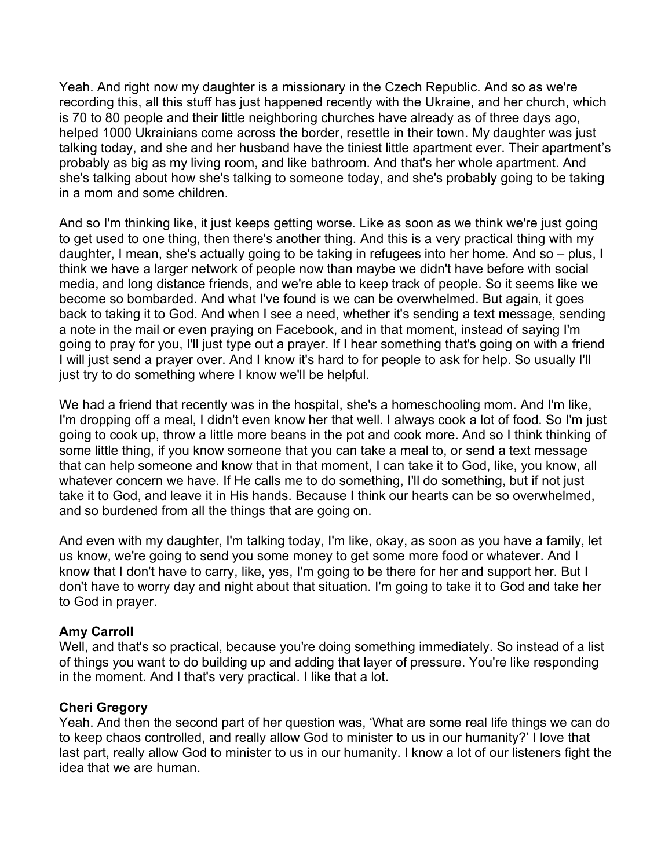Yeah. And right now my daughter is a missionary in the Czech Republic. And so as we're recording this, all this stuff has just happened recently with the Ukraine, and her church, which is 70 to 80 people and their little neighboring churches have already as of three days ago, helped 1000 Ukrainians come across the border, resettle in their town. My daughter was just talking today, and she and her husband have the tiniest little apartment ever. Their apartment's probably as big as my living room, and like bathroom. And that's her whole apartment. And she's talking about how she's talking to someone today, and she's probably going to be taking in a mom and some children.

And so I'm thinking like, it just keeps getting worse. Like as soon as we think we're just going to get used to one thing, then there's another thing. And this is a very practical thing with my daughter, I mean, she's actually going to be taking in refugees into her home. And so – plus, I think we have a larger network of people now than maybe we didn't have before with social media, and long distance friends, and we're able to keep track of people. So it seems like we become so bombarded. And what I've found is we can be overwhelmed. But again, it goes back to taking it to God. And when I see a need, whether it's sending a text message, sending a note in the mail or even praying on Facebook, and in that moment, instead of saying I'm going to pray for you, I'll just type out a prayer. If I hear something that's going on with a friend I will just send a prayer over. And I know it's hard to for people to ask for help. So usually I'll just try to do something where I know we'll be helpful.

We had a friend that recently was in the hospital, she's a homeschooling mom. And I'm like, I'm dropping off a meal, I didn't even know her that well. I always cook a lot of food. So I'm just going to cook up, throw a little more beans in the pot and cook more. And so I think thinking of some little thing, if you know someone that you can take a meal to, or send a text message that can help someone and know that in that moment, I can take it to God, like, you know, all whatever concern we have. If He calls me to do something, I'll do something, but if not just take it to God, and leave it in His hands. Because I think our hearts can be so overwhelmed, and so burdened from all the things that are going on.

And even with my daughter, I'm talking today, I'm like, okay, as soon as you have a family, let us know, we're going to send you some money to get some more food or whatever. And I know that I don't have to carry, like, yes, I'm going to be there for her and support her. But I don't have to worry day and night about that situation. I'm going to take it to God and take her to God in prayer.

### **Amy Carroll**

Well, and that's so practical, because you're doing something immediately. So instead of a list of things you want to do building up and adding that layer of pressure. You're like responding in the moment. And I that's very practical. I like that a lot.

### **Cheri Gregory**

Yeah. And then the second part of her question was, 'What are some real life things we can do to keep chaos controlled, and really allow God to minister to us in our humanity?' I love that last part, really allow God to minister to us in our humanity. I know a lot of our listeners fight the idea that we are human.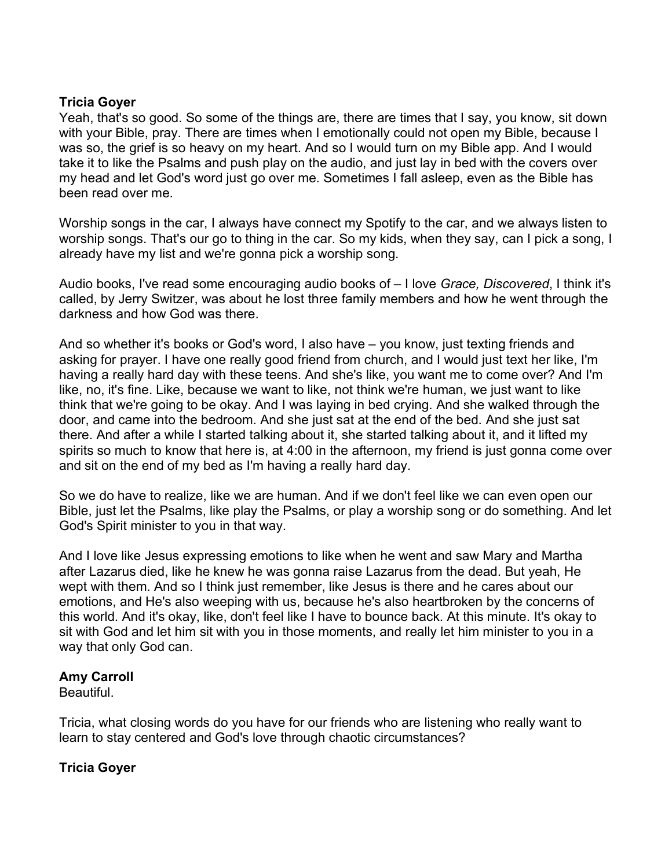### **Tricia Goyer**

Yeah, that's so good. So some of the things are, there are times that I say, you know, sit down with your Bible, pray. There are times when I emotionally could not open my Bible, because I was so, the grief is so heavy on my heart. And so I would turn on my Bible app. And I would take it to like the Psalms and push play on the audio, and just lay in bed with the covers over my head and let God's word just go over me. Sometimes I fall asleep, even as the Bible has been read over me.

Worship songs in the car, I always have connect my Spotify to the car, and we always listen to worship songs. That's our go to thing in the car. So my kids, when they say, can I pick a song, I already have my list and we're gonna pick a worship song.

Audio books, I've read some encouraging audio books of – I love *Grace, Discovered*, I think it's called, by Jerry Switzer, was about he lost three family members and how he went through the darkness and how God was there.

And so whether it's books or God's word, I also have – you know, just texting friends and asking for prayer. I have one really good friend from church, and I would just text her like, I'm having a really hard day with these teens. And she's like, you want me to come over? And I'm like, no, it's fine. Like, because we want to like, not think we're human, we just want to like think that we're going to be okay. And I was laying in bed crying. And she walked through the door, and came into the bedroom. And she just sat at the end of the bed. And she just sat there. And after a while I started talking about it, she started talking about it, and it lifted my spirits so much to know that here is, at 4:00 in the afternoon, my friend is just gonna come over and sit on the end of my bed as I'm having a really hard day.

So we do have to realize, like we are human. And if we don't feel like we can even open our Bible, just let the Psalms, like play the Psalms, or play a worship song or do something. And let God's Spirit minister to you in that way.

And I love like Jesus expressing emotions to like when he went and saw Mary and Martha after Lazarus died, like he knew he was gonna raise Lazarus from the dead. But yeah, He wept with them. And so I think just remember, like Jesus is there and he cares about our emotions, and He's also weeping with us, because he's also heartbroken by the concerns of this world. And it's okay, like, don't feel like I have to bounce back. At this minute. It's okay to sit with God and let him sit with you in those moments, and really let him minister to you in a way that only God can.

### **Amy Carroll**

Beautiful.

Tricia, what closing words do you have for our friends who are listening who really want to learn to stay centered and God's love through chaotic circumstances?

# **Tricia Goyer**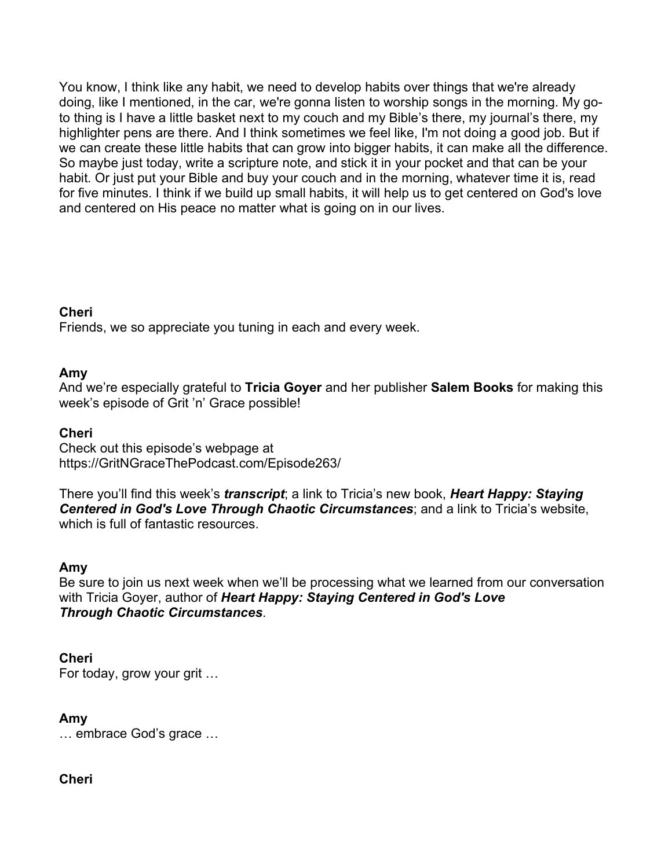You know, I think like any habit, we need to develop habits over things that we're already doing, like I mentioned, in the car, we're gonna listen to worship songs in the morning. My goto thing is I have a little basket next to my couch and my Bible's there, my journal's there, my highlighter pens are there. And I think sometimes we feel like, I'm not doing a good job. But if we can create these little habits that can grow into bigger habits, it can make all the difference. So maybe just today, write a scripture note, and stick it in your pocket and that can be your habit. Or just put your Bible and buy your couch and in the morning, whatever time it is, read for five minutes. I think if we build up small habits, it will help us to get centered on God's love and centered on His peace no matter what is going on in our lives.

# **Cheri**

Friends, we so appreciate you tuning in each and every week.

# **Amy**

And we're especially grateful to **Tricia Goyer** and her publisher **Salem Books** for making this week's episode of Grit 'n' Grace possible!

# **Cheri**

Check out this episode's webpage at https://GritNGraceThePodcast.com/Episode263/

There you'll find this week's *transcript*; a link to Tricia's new book, *Heart Happy: Staying Centered in God's Love Through Chaotic Circumstances*; and a link to Tricia's website, which is full of fantastic resources.

### **Amy**

Be sure to join us next week when we'll be processing what we learned from our conversation with Tricia Goyer, author of *Heart Happy: Staying Centered in God's Love Through Chaotic Circumstances*.

# **Cheri**

For today, grow your grit …

# **Amy**

… embrace God's grace …

# **Cheri**